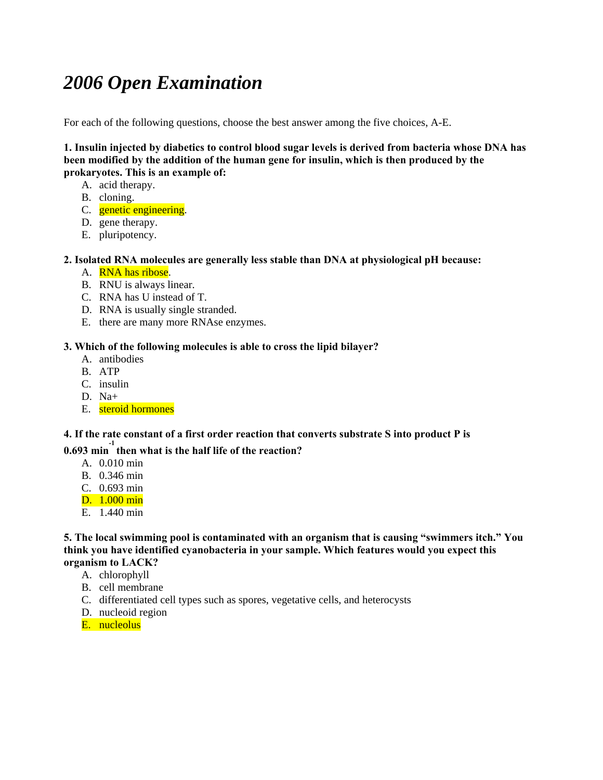# *2006 Open Examination*

For each of the following questions, choose the best answer among the five choices, A-E.

**1. Insulin injected by diabetics to control blood sugar levels is derived from bacteria whose DNA has been modified by the addition of the human gene for insulin, which is then produced by the prokaryotes. This is an example of:** 

- A. acid therapy.
- B. cloning.
- C. genetic engineering.
- D. gene therapy.
- E. pluripotency.

## **2. Isolated RNA molecules are generally less stable than DNA at physiological pH because:**

- A. RNA has ribose.
- B. RNU is always linear.
- C. RNA has U instead of T.
- D. RNA is usually single stranded.
- E. there are many more RNAse enzymes.

## **3. Which of the following molecules is able to cross the lipid bilayer?**

- A. antibodies
- B. ATP
- C. insulin
- D. Na+
- E. steroid hormones

## **4. If the rate constant of a first order reaction that converts substrate S into product P is**

## **0.693 min -1 then what is the half life of the reaction?**

- A. 0.010 min
- B. 0.346 min
- C. 0.693 min
- D. 1.000 min
- E. 1.440 min

#### **5. The local swimming pool is contaminated with an organism that is causing "swimmers itch." You think you have identified cyanobacteria in your sample. Which features would you expect this organism to LACK?**

- A. chlorophyll
- B. cell membrane
- C. differentiated cell types such as spores, vegetative cells, and heterocysts
- D. nucleoid region
- E. nucleolus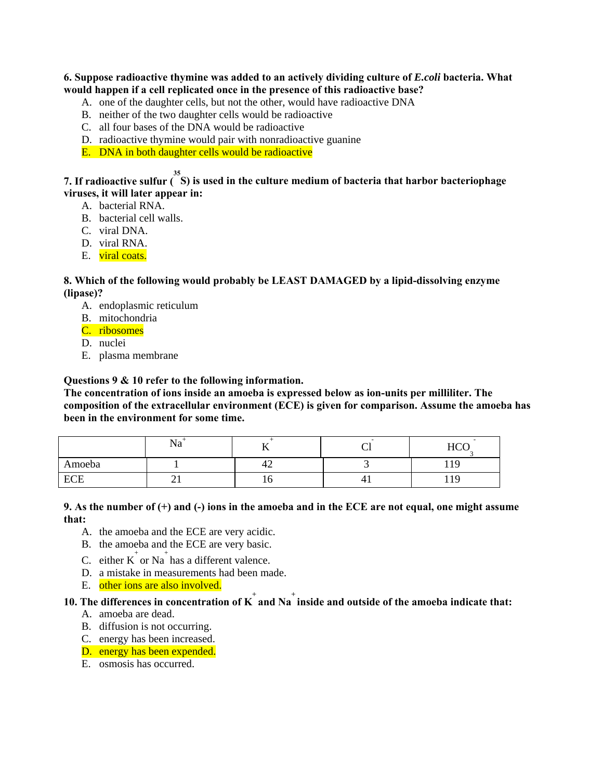#### **6. Suppose radioactive thymine was added to an actively dividing culture of** *E.coli* **bacteria. What would happen if a cell replicated once in the presence of this radioactive base?**

- A. one of the daughter cells, but not the other, would have radioactive DNA
- B. neither of the two daughter cells would be radioactive
- C. all four bases of the DNA would be radioactive
- D. radioactive thymine would pair with nonradioactive guanine

E. DNA in both daughter cells would be radioactive

## **7. If radioactive sulfur ( 35 S) is used in the culture medium of bacteria that harbor bacteriophage viruses, it will later appear in:**

- A. bacterial RNA.
- B. bacterial cell walls.
- C. viral DNA.
- D. viral RNA.
- E. viral coats.

#### **8. Which of the following would probably be LEAST DAMAGED by a lipid-dissolving enzyme (lipase)?**

- A. endoplasmic reticulum
- B. mitochondria
- C. ribosomes
- D. nuclei
- E. plasma membrane

#### **Questions 9 & 10 refer to the following information.**

**The concentration of ions inside an amoeba is expressed below as ion-units per milliliter. The composition of the extracellular environment (ECE) is given for comparison. Assume the amoeba has been in the environment for some time.** 

|            | --<br>$1 \times a$ |     | $\sim$<br>◡ | ITC<br>11CQ      |
|------------|--------------------|-----|-------------|------------------|
| Amoeba     |                    | ᠇▃  |             | -4<br>Q<br>ᆂ ᆂ ノ |
| <b>ECE</b> | $\sim$ 1           | ± U | 41          | $\Omega$<br>エエノ  |

#### **9. As the number of (+) and (-) ions in the amoeba and in the ECE are not equal, one might assume that:**

- A. the amoeba and the ECE are very acidic.
- B. the amoeba and the ECE are very basic.
- C. either  $K^{\dagger}$  or Na<sup>+</sup> has a different valence.
- D. a mistake in measurements had been made.
- E. other ions are also involved.

## **10.** The differences in concentration of K<sup> $+$ </sup> and Na<sup> $+$ </sup> inside and outside of the amoeba indicate that:

- A. amoeba are dead.
- B. diffusion is not occurring.
- C. energy has been increased.
- D. energy has been expended.
- E. osmosis has occurred.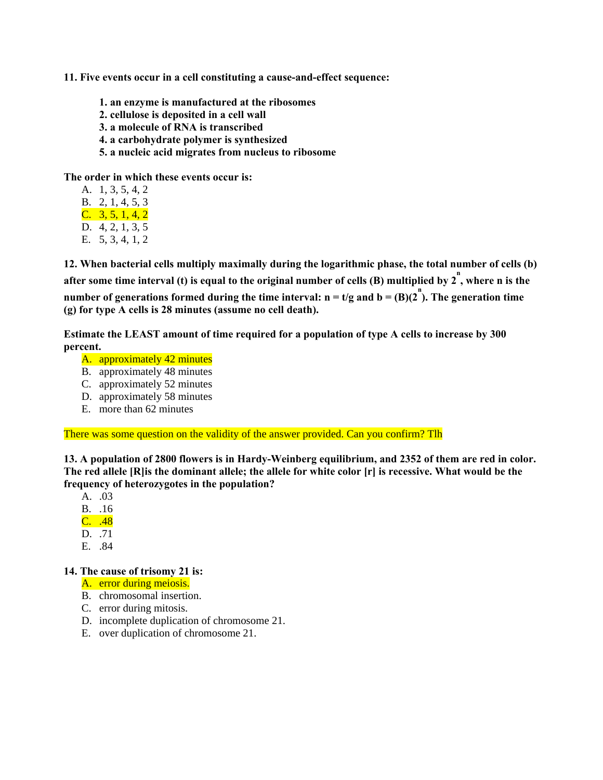**11. Five events occur in a cell constituting a cause-and-effect sequence:** 

- **1. an enzyme is manufactured at the ribosomes**
- **2. cellulose is deposited in a cell wall**
- **3. a molecule of RNA is transcribed**
- **4. a carbohydrate polymer is synthesized**
- **5. a nucleic acid migrates from nucleus to ribosome**

**The order in which these events occur is:** 

- A. 1, 3, 5, 4, 2
- B. 2, 1, 4, 5, 3
- $C. \quad 3, 5, 1, 4, 2$
- D. 4, 2, 1, 3, 5
- E. 5, 3, 4, 1, 2

**12. When bacterial cells multiply maximally during the logarithmic phase, the total number of cells (b)**  after some time interval (t) is equal to the original number of cells (B) multiplied by  $2^n$ , where n is the **number of generations formed during the time interval:**  $n = t/g$  **and**  $b = (B)(2^n)$ **. The generation time (g) for type A cells is 28 minutes (assume no cell death).** 

**Estimate the LEAST amount of time required for a population of type A cells to increase by 300 percent.** 

- A. approximately 42 minutes
- B. approximately 48 minutes
- C. approximately 52 minutes
- D. approximately 58 minutes
- E. more than 62 minutes

There was some question on the validity of the answer provided. Can you confirm? Tlh

**13. A population of 2800 flowers is in Hardy-Weinberg equilibrium, and 2352 of them are red in color. The red allele [R]is the dominant allele; the allele for white color [r] is recessive. What would be the frequency of heterozygotes in the population?** 

A. .03

- B. .16
- C. .48
- D. 71
- E. .84

#### **14. The cause of trisomy 21 is:**

- A. error during meiosis.
- B. chromosomal insertion.
- C. error during mitosis.
- D. incomplete duplication of chromosome 21.
- E. over duplication of chromosome 21.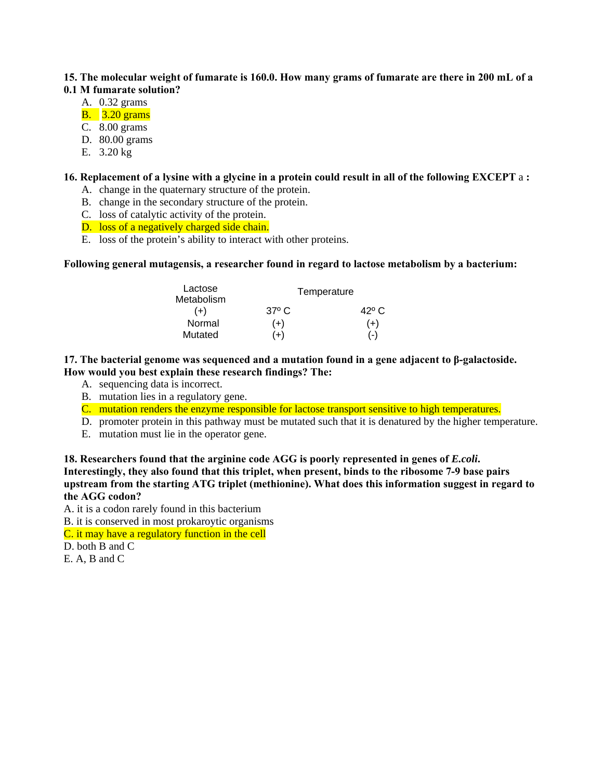#### **15. The molecular weight of fumarate is 160.0. How many grams of fumarate are there in 200 mL of a 0.1 M fumarate solution?**

- A. 0.32 grams
- B. 3.20 grams
- C. 8.00 grams
- D. 80.00 grams
- E. 3.20 kg

## **16. Replacement of a lysine with a glycine in a protein could result in all of the following EXCEPT** a **:**

- A. change in the quaternary structure of the protein.
- B. change in the secondary structure of the protein.
- C. loss of catalytic activity of the protein.
- D. loss of a negatively charged side chain.
- E. loss of the protein's ability to interact with other proteins.

## **Following general mutagensis, a researcher found in regard to lactose metabolism by a bacterium:**

| Lactose<br>Metabolism |              | Temperature    |
|-----------------------|--------------|----------------|
| $(+)$                 | $37^\circ$ C | $42^{\circ}$ C |
| Normal                | $(+)$        | $(+)$          |
| Mutated               | ′+)          | $(-)$          |

#### **17. The bacterial genome was sequenced and a mutation found in a gene adjacent to β-galactoside. How would you best explain these research findings? The:**

- A. sequencing data is incorrect.
- B. mutation lies in a regulatory gene.
- C. mutation renders the enzyme responsible for lactose transport sensitive to high temperatures.
- D. promoter protein in this pathway must be mutated such that it is denatured by the higher temperature.
- E. mutation must lie in the operator gene.

**18. Researchers found that the arginine code AGG is poorly represented in genes of** *E.coli***. Interestingly, they also found that this triplet, when present, binds to the ribosome 7-9 base pairs upstream from the starting ATG triplet (methionine). What does this information suggest in regard to the AGG codon?** 

A. it is a codon rarely found in this bacterium

B. it is conserved in most prokaroytic organisms

C. it may have a regulatory function in the cell

D. both B and C

E. A, B and C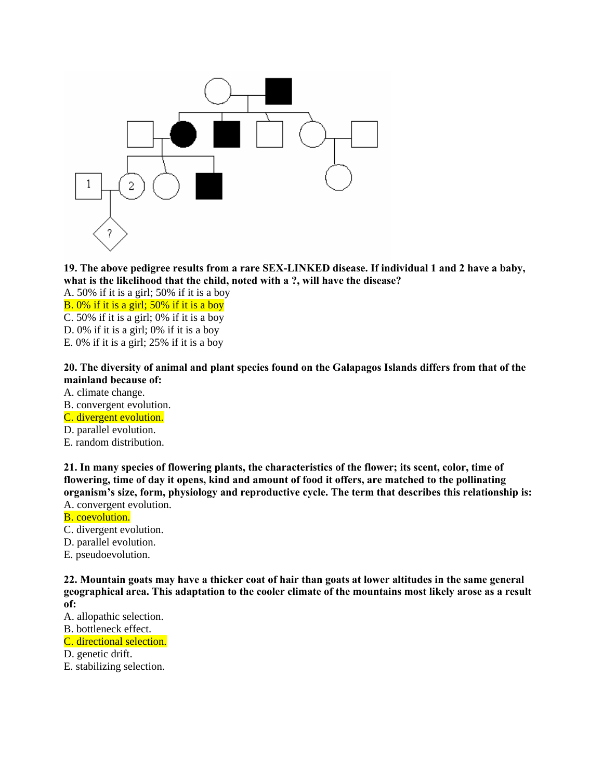

**19. The above pedigree results from a rare SEX-LINKED disease. If individual 1 and 2 have a baby, what is the likelihood that the child, noted with a ?, will have the disease?** 

A. 50% if it is a girl; 50% if it is a boy

B. 0% if it is a girl; 50% if it is a boy

C. 50% if it is a girl; 0% if it is a boy

D. 0% if it is a girl; 0% if it is a boy

E. 0% if it is a girl; 25% if it is a boy

**20. The diversity of animal and plant species found on the Galapagos Islands differs from that of the mainland because of:** 

- A. climate change.
- B. convergent evolution.
- C. divergent evolution.
- D. parallel evolution.
- E. random distribution.

**21. In many species of flowering plants, the characteristics of the flower; its scent, color, time of flowering, time of day it opens, kind and amount of food it offers, are matched to the pollinating organism's size, form, physiology and reproductive cycle. The term that describes this relationship is:**  A. convergent evolution.

- B. coevolution.
- C. divergent evolution.
- D. parallel evolution.
- E. pseudoevolution.

**22. Mountain goats may have a thicker coat of hair than goats at lower altitudes in the same general geographical area. This adaptation to the cooler climate of the mountains most likely arose as a result of:** 

A. allopathic selection.

B. bottleneck effect.

C. directional selection.

- D. genetic drift.
- E. stabilizing selection.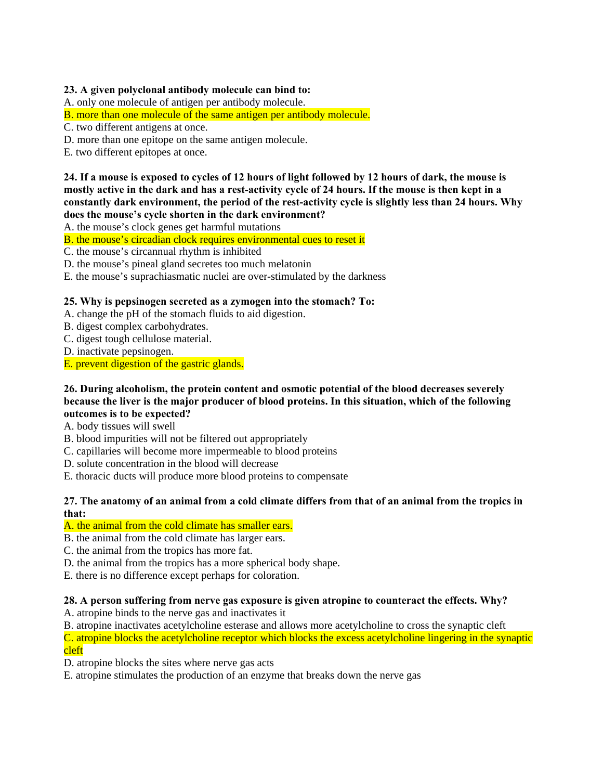## **23. A given polyclonal antibody molecule can bind to:**

A. only one molecule of antigen per antibody molecule.

B. more than one molecule of the same antigen per antibody molecule.

C. two different antigens at once.

D. more than one epitope on the same antigen molecule.

E. two different epitopes at once.

**24. If a mouse is exposed to cycles of 12 hours of light followed by 12 hours of dark, the mouse is mostly active in the dark and has a rest-activity cycle of 24 hours. If the mouse is then kept in a constantly dark environment, the period of the rest-activity cycle is slightly less than 24 hours. Why does the mouse's cycle shorten in the dark environment?** 

A. the mouse's clock genes get harmful mutations

B. the mouse's circadian clock requires environmental cues to reset it

C. the mouse's circannual rhythm is inhibited

D. the mouse's pineal gland secretes too much melatonin

E. the mouse's suprachiasmatic nuclei are over-stimulated by the darkness

## **25. Why is pepsinogen secreted as a zymogen into the stomach? To:**

A. change the pH of the stomach fluids to aid digestion.

- B. digest complex carbohydrates.
- C. digest tough cellulose material.
- D. inactivate pepsinogen.

E. prevent digestion of the gastric glands.

## **26. During alcoholism, the protein content and osmotic potential of the blood decreases severely because the liver is the major producer of blood proteins. In this situation, which of the following outcomes is to be expected?**

- A. body tissues will swell
- B. blood impurities will not be filtered out appropriately
- C. capillaries will become more impermeable to blood proteins
- D. solute concentration in the blood will decrease
- E. thoracic ducts will produce more blood proteins to compensate

## **27. The anatomy of an animal from a cold climate differs from that of an animal from the tropics in that:**

## A. the animal from the cold climate has smaller ears.

- B. the animal from the cold climate has larger ears.
- C. the animal from the tropics has more fat.
- D. the animal from the tropics has a more spherical body shape.

E. there is no difference except perhaps for coloration.

## **28. A person suffering from nerve gas exposure is given atropine to counteract the effects. Why?**

A. atropine binds to the nerve gas and inactivates it

B. atropine inactivates acetylcholine esterase and allows more acetylcholine to cross the synaptic cleft C. atropine blocks the acetylcholine receptor which blocks the excess acetylcholine lingering in the synaptic cleft

D. atropine blocks the sites where nerve gas acts

E. atropine stimulates the production of an enzyme that breaks down the nerve gas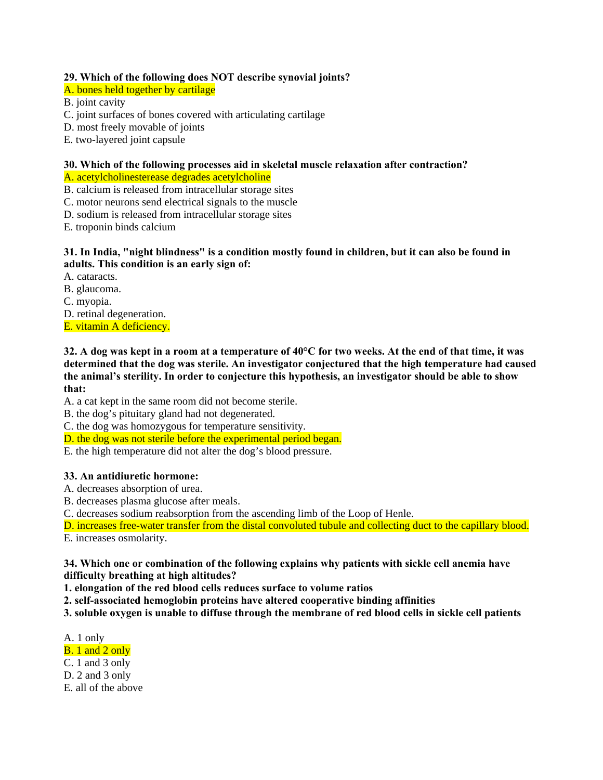## **29. Which of the following does NOT describe synovial joints?**

A. bones held together by cartilage

B. joint cavity

- C. joint surfaces of bones covered with articulating cartilage
- D. most freely movable of joints
- E. two-layered joint capsule

## **30. Which of the following processes aid in skeletal muscle relaxation after contraction?**

A. acetylcholinesterease degrades acetylcholine

- B. calcium is released from intracellular storage sites
- C. motor neurons send electrical signals to the muscle
- D. sodium is released from intracellular storage sites

E. troponin binds calcium

## **31. In India, "night blindness" is a condition mostly found in children, but it can also be found in adults. This condition is an early sign of:**

A. cataracts.

- B. glaucoma.
- C. myopia.

D. retinal degeneration.

E. vitamin A deficiency.

**32. A dog was kept in a room at a temperature of 40°C for two weeks. At the end of that time, it was determined that the dog was sterile. An investigator conjectured that the high temperature had caused the animal's sterility. In order to conjecture this hypothesis, an investigator should be able to show that:** 

A. a cat kept in the same room did not become sterile.

- B. the dog's pituitary gland had not degenerated.
- C. the dog was homozygous for temperature sensitivity.
- D. the dog was not sterile before the experimental period began.
- E. the high temperature did not alter the dog's blood pressure.

## **33. An antidiuretic hormone:**

- A. decreases absorption of urea.
- B. decreases plasma glucose after meals.
- C. decreases sodium reabsorption from the ascending limb of the Loop of Henle.

D. increases free-water transfer from the distal convoluted tubule and collecting duct to the capillary blood.

E. increases osmolarity.

**34. Which one or combination of the following explains why patients with sickle cell anemia have difficulty breathing at high altitudes?** 

**1. elongation of the red blood cells reduces surface to volume ratios** 

**2. self-associated hemoglobin proteins have altered cooperative binding affinities** 

**3. soluble oxygen is unable to diffuse through the membrane of red blood cells in sickle cell patients** 

A. 1 only

- B. 1 and 2 only
- C. 1 and 3 only
- D. 2 and 3 only
- E. all of the above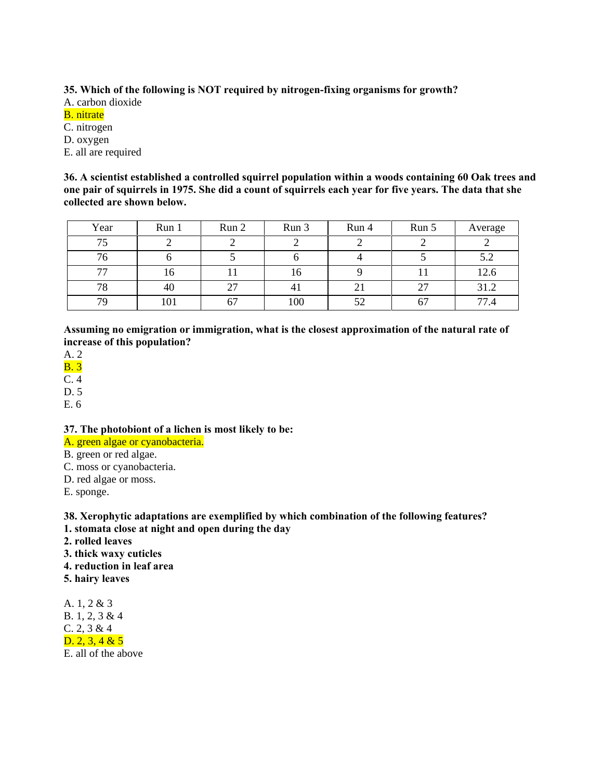**35. Which of the following is NOT required by nitrogen-fixing organisms for growth?**

A. carbon dioxide

## B. nitrate

C. nitrogen

D. oxygen

E. all are required

**36. A scientist established a controlled squirrel population within a woods containing 60 Oak trees and one pair of squirrels in 1975. She did a count of squirrels each year for five years. The data that she collected are shown below.** 

| Year | Run 1 | Run 2    | Run 3          | Run 4          | Run 5 | Average   |
|------|-------|----------|----------------|----------------|-------|-----------|
| 75   |       |          |                |                |       |           |
| 76   |       |          |                |                |       | 57<br>J.Z |
| 77   | 16    |          | 16             |                |       | 12.6      |
| 78   | 40    | 27       | 4 <sub>1</sub> | 2 <sub>1</sub> |       | 31.2      |
| 79   | 101   | --<br>O. | 100            | 52             | 67    | 77.4      |

**Assuming no emigration or immigration, what is the closest approximation of the natural rate of increase of this population?** 

A. 2

B. 3

C. 4

D. 5

E. 6

**37. The photobiont of a lichen is most likely to be:** 

A. green algae or cyanobacteria.

B. green or red algae.

C. moss or cyanobacteria.

D. red algae or moss.

E. sponge.

**38. Xerophytic adaptations are exemplified by which combination of the following features?** 

**1. stomata close at night and open during the day** 

- **2. rolled leaves**
- **3. thick waxy cuticles**
- **4. reduction in leaf area**

**5. hairy leaves** 

A. 1, 2 & 3 B. 1, 2, 3 & 4 C. 2, 3 & 4  $D. 2, 3, 4 & 5$ E. all of the above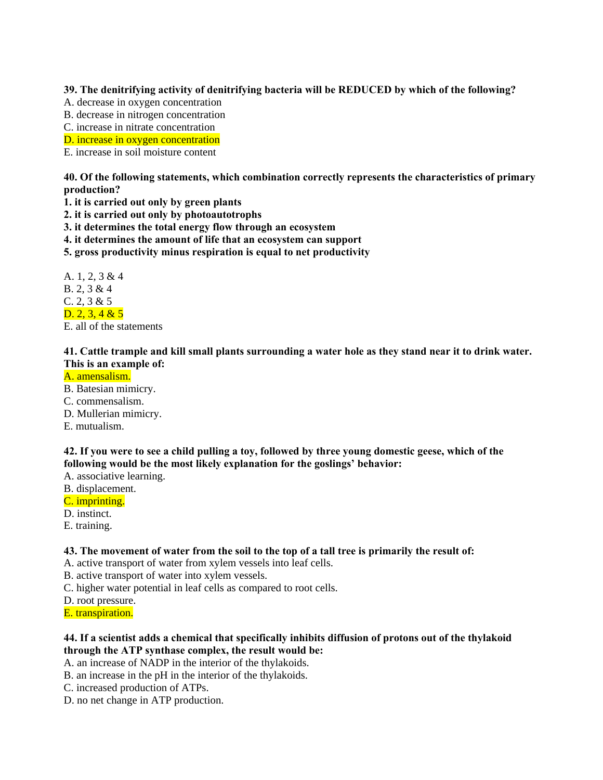**39. The denitrifying activity of denitrifying bacteria will be REDUCED by which of the following?** 

- A. decrease in oxygen concentration
- B. decrease in nitrogen concentration
- C. increase in nitrate concentration
- D. increase in oxygen concentration

E. increase in soil moisture content

**40. Of the following statements, which combination correctly represents the characteristics of primary production?** 

- **1. it is carried out only by green plants**
- **2. it is carried out only by photoautotrophs**
- **3. it determines the total energy flow through an ecosystem**
- **4. it determines the amount of life that an ecosystem can support**
- **5. gross productivity minus respiration is equal to net productivity**

A. 1, 2, 3 & 4 B. 2, 3 & 4 C. 2, 3 & 5  $D. 2, 3, 4 & 5$ 

E. all of the statements

## **41. Cattle trample and kill small plants surrounding a water hole as they stand near it to drink water. This is an example of:**

#### A. amensalism.

- B. Batesian mimicry.
- C. commensalism.
- D. Mullerian mimicry.
- E. mutualism.

## **42. If you were to see a child pulling a toy, followed by three young domestic geese, which of the following would be the most likely explanation for the goslings' behavior:**

- A. associative learning.
- B. displacement.
- C. imprinting.
- D. instinct.
- E. training.

## **43. The movement of water from the soil to the top of a tall tree is primarily the result of:**

A. active transport of water from xylem vessels into leaf cells.

- B. active transport of water into xylem vessels.
- C. higher water potential in leaf cells as compared to root cells.
- D. root pressure.
- E. transpiration.

## **44. If a scientist adds a chemical that specifically inhibits diffusion of protons out of the thylakoid through the ATP synthase complex, the result would be:**

A. an increase of NADP in the interior of the thylakoids.

- B. an increase in the pH in the interior of the thylakoids.
- C. increased production of ATPs.
- D. no net change in ATP production.